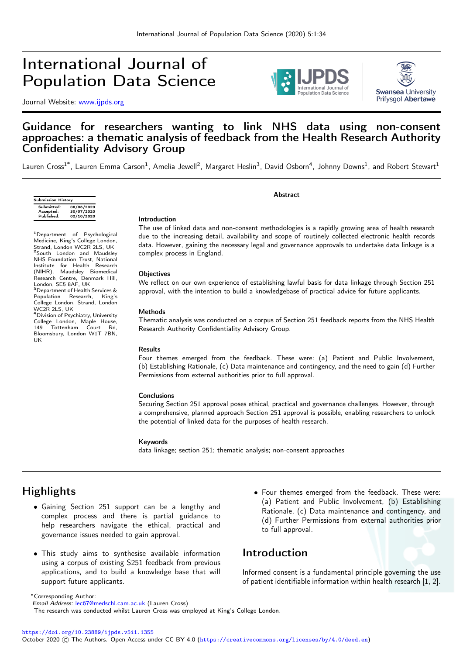# International Journal of Population Data Science

Journal Website: [www.ijpds.org](http://www.ijpds.org)





### Guidance for researchers wanting to link NHS data using non-consent approaches: a thematic analysis of feedback from the Health Research Authority Confidentiality Advisory Group

Lauren Cross<sup>1\*</sup>, Lauren Emma Carson<sup>1</sup>, Amelia Jewell<sup>2</sup>, Margaret Heslin<sup>3</sup>, David Osborn<sup>4</sup>, Johnny Downs<sup>1</sup>, and Robert Stewart<sup>1</sup>

| 08/06/2020<br>30/07/2020<br>02/10/2020 |
|----------------------------------------|
|                                        |

<sup>1</sup>Department of Psychological Medicine, King's College London, Strand, London WC2R 2LS, UK <sup>2</sup>South London and Maudsley NHS Foundation Trust, National Institute for Health Research (NIHR), Maudsley Biomedical Research Centre, Denmark Hill, London, SE5 8AF, UK<br><sup>3</sup>Department of Health Services & Population Research, King's College London, Strand, London WC2R 2LS, UK <sup>4</sup>Division of Psychiatry, University College London, Maple House,<br>149 Tottenham Court Rd. Tottenham Court Rd, Bloomsbury, London W1T 7BN, UK

The use of linked data and non-consent methodologies is a rapidly growing area of health research due to the increasing detail, availability and scope of routinely collected electronic health records data. However, gaining the necessary legal and governance approvals to undertake data linkage is a complex process in England.

Abstract

#### **Objectives**

Introduction

We reflect on our own experience of establishing lawful basis for data linkage through Section 251 approval, with the intention to build a knowledgebase of practical advice for future applicants.

#### Methods

Thematic analysis was conducted on a corpus of Section 251 feedback reports from the NHS Health Research Authority Confidentiality Advisory Group.

#### Results

Four themes emerged from the feedback. These were: (a) Patient and Public Involvement, (b) Establishing Rationale, (c) Data maintenance and contingency, and the need to gain (d) Further Permissions from external authorities prior to full approval.

#### **Conclusions**

Securing Section 251 approval poses ethical, practical and governance challenges. However, through a comprehensive, planned approach Section 251 approval is possible, enabling researchers to unlock the potential of linked data for the purposes of health research.

#### Keywords

data linkage; section 251; thematic analysis; non-consent approaches

## **Highlights**

- Gaining Section 251 support can be a lengthy and complex process and there is partial guidance to help researchers navigate the ethical, practical and governance issues needed to gain approval.
- This study aims to synthesise available information using a corpus of existing S251 feedback from previous applications, and to build a knowledge base that will support future applicants.
- Four themes emerged from the feedback. These were: (a) Patient and Public Involvement, (b) Establishing Rationale, (c) Data maintenance and contingency, and (d) Further Permissions from external authorities prior to full approval.

### Introduction

Informed consent is a fundamental principle governing the use of patient identifiable information within health research [\[1,](#page-6-0) [2\]](#page-6-1).

<https://doi.org/10.23889/ijpds.v5i1.1355>

October 2020 © The Authors. Open Access under CC BY 4.0 (<https://creativecommons.org/licenses/by/4.0/deed.en>)

<sup>∗</sup>Corresponding Author:

Email Address: [lec67@medschl.cam.ac.uk](mailto:lec67@medschl.cam.ac.uk) (Lauren Cross)

The research was conducted whilst Lauren Cross was employed at King's College London.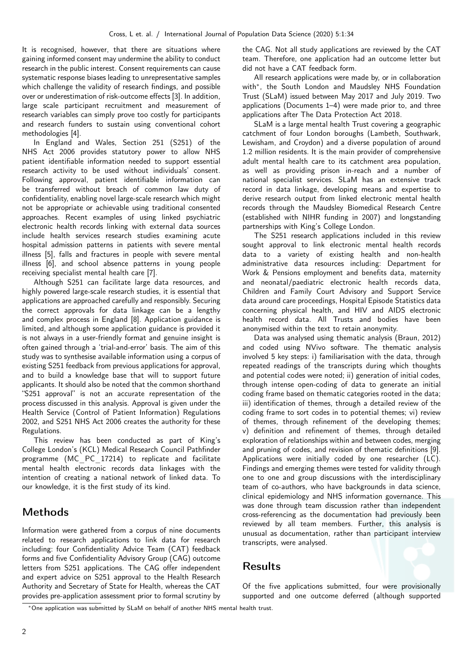It is recognised, however, that there are situations where gaining informed consent may undermine the ability to conduct research in the public interest. Consent requirements can cause systematic response biases leading to unrepresentative samples which challenge the validity of research findings, and possible over or underestimation of risk-outcome effects [\[3\]](#page-6-2). In addition, large scale participant recruitment and measurement of research variables can simply prove too costly for participants and research funders to sustain using conventional cohort methodologies [\[4\]](#page-6-3).

In England and Wales, Section 251 (S251) of the NHS Act 2006 provides statutory power to allow NHS patient identifiable information needed to support essential research activity to be used without individuals' consent. Following approval, patient identifiable information can be transferred without breach of common law duty of confidentiality, enabling novel large-scale research which might not be appropriate or achievable using traditional consented approaches. Recent examples of using linked psychiatric electronic health records linking with external data sources include health services research studies examining acute hospital admission patterns in patients with severe mental illness [\[5\]](#page-6-4), falls and fractures in people with severe mental illness [\[6\]](#page-7-0), and school absence patterns in young people receiving specialist mental health care [\[7\]](#page-7-1).

Although S251 can facilitate large data resources, and highly powered large-scale research studies, it is essential that applications are approached carefully and responsibly. Securing the correct approvals for data linkage can be a lengthy and complex process in England [\[8\]](#page-7-2). Application guidance is limited, and although some application guidance is provided it is not always in a user-friendly format and genuine insight is often gained through a 'trial-and-error' basis. The aim of this study was to synthesise available information using a corpus of existing S251 feedback from previous applications for approval, and to build a knowledge base that will to support future applicants. It should also be noted that the common shorthand "S251 approval" is not an accurate representation of the process discussed in this analysis. Approval is given under the Health Service (Control of Patient Information) Regulations 2002, and S251 NHS Act 2006 creates the authority for these Regulations.

This review has been conducted as part of King's College London's (KCL) Medical Research Council Pathfinder programme (MC PC 17214) to replicate and facilitate mental health electronic records data linkages with the intention of creating a national network of linked data. To our knowledge, it is the first study of its kind.

## Methods

Information were gathered from a corpus of nine documents related to research applications to link data for research including: four Confidentiality Advice Team (CAT) feedback forms and five Confidentiality Advisory Group (CAG) outcome letters from S251 applications. The CAG offer independent and expert advice on S251 approval to the Health Research Authority and Secretary of State for Health, whereas the CAT provides pre-application assessment prior to formal scrutiny by the CAG. Not all study applications are reviewed by the CAT team. Therefore, one application had an outcome letter but did not have a CAT feedback form.

All research applications were made by, or in collaboration with<sup>\*</sup>, the South London and Maudsley NHS Foundation Trust (SLaM) issued between May 2017 and July 2019. Two applications (Documents 1–4) were made prior to, and three applications after The Data Protection Act 2018.

SLaM is a large mental health Trust covering a geographic catchment of four London boroughs (Lambeth, Southwark, Lewisham, and Croydon) and a diverse population of around 1.2 million residents. It is the main provider of comprehensive adult mental health care to its catchment area population, as well as providing prison in-reach and a number of national specialist services. SLaM has an extensive track record in data linkage, developing means and expertise to derive research output from linked electronic mental health records through the Maudsley Biomedical Research Centre (established with NIHR funding in 2007) and longstanding partnerships with King's College London.

The S251 research applications included in this review sought approval to link electronic mental health records data to a variety of existing health and non-health administrative data resources including: Department for Work & Pensions employment and benefits data, maternity and neonatal/paediatric electronic health records data, Children and Family Court Advisory and Support Service data around care proceedings, Hospital Episode Statistics data concerning physical health, and HIV and AIDS electronic health record data. All Trusts and bodies have been anonymised within the text to retain anonymity.

Data was analysed using thematic analysis (Braun, 2012) and coded using NVivo software. The thematic analysis involved 5 key steps: i) familiarisation with the data, through repeated readings of the transcripts during which thoughts and potential codes were noted; ii) generation of initial codes, through intense open-coding of data to generate an initial coding frame based on thematic categories rooted in the data; iii) identification of themes, through a detailed review of the coding frame to sort codes in to potential themes; vi) review of themes, through refinement of the developing themes; v) definition and refinement of themes, through detailed exploration of relationships within and between codes, merging and pruning of codes, and revision of thematic definitions [\[9\]](#page-7-3). Applications were initially coded by one researcher (LC). Findings and emerging themes were tested for validity through one to one and group discussions with the interdisciplinary team of co-authors, who have backgrounds in data science, clinical epidemiology and NHS information governance. This was done through team discussion rather than independent cross-referencing as the documentation had previously been reviewed by all team members. Further, this analysis is unusual as documentation, rather than participant interview transcripts, were analysed.

## Results

Of the five applications submitted, four were provisionally supported and one outcome deferred (although supported

<span id="page-1-0"></span><sup>∗</sup>One application was submitted by SLaM on behalf of another NHS mental health trust.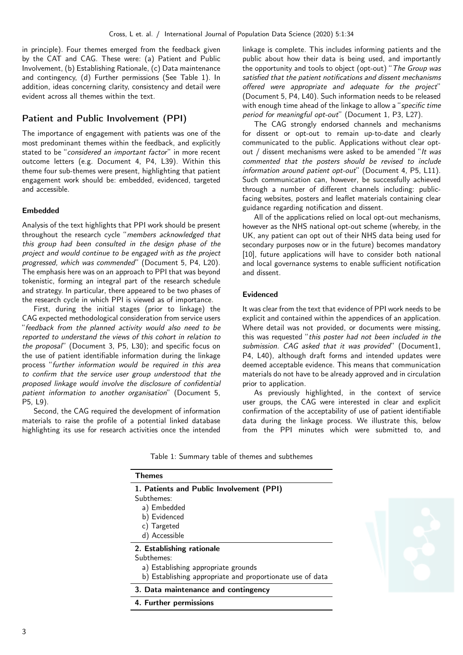in principle). Four themes emerged from the feedback given by the CAT and CAG. These were: (a) Patient and Public Involvement, (b) Establishing Rationale, (c) Data maintenance and contingency, (d) Further permissions (See Table [1\)](#page-2-0). In addition, ideas concerning clarity, consistency and detail were evident across all themes within the text.

### Patient and Public Involvement (PPI)

The importance of engagement with patients was one of the most predominant themes within the feedback, and explicitly stated to be "considered an important factor" in more recent outcome letters (e.g. Document 4, P4, L39). Within this theme four sub-themes were present, highlighting that patient engagement work should be: embedded, evidenced, targeted and accessible.

#### Embedded

Analysis of the text highlights that PPI work should be present throughout the research cycle "members acknowledged that this group had been consulted in the design phase of the project and would continue to be engaged with as the project progressed, which was commended" (Document 5, P4, L20). The emphasis here was on an approach to PPI that was beyond tokenistic, forming an integral part of the research schedule and strategy. In particular, there appeared to be two phases of the research cycle in which PPI is viewed as of importance.

First, during the initial stages (prior to linkage) the CAG expected methodological consideration from service users "feedback from the planned activity would also need to be reported to understand the views of this cohort in relation to the proposal" (Document 3, P5, L30); and specific focus on the use of patient identifiable information during the linkage process "further information would be required in this area to confirm that the service user group understood that the proposed linkage would involve the disclosure of confidential patient information to another organisation" (Document 5, P5, L9).

Second, the CAG required the development of information materials to raise the profile of a potential linked database highlighting its use for research activities once the intended linkage is complete. This includes informing patients and the public about how their data is being used, and importantly the opportunity and tools to object (opt-out) "The Group was satisfied that the patient notifications and dissent mechanisms offered were appropriate and adequate for the project" (Document 5, P4, L40). Such information needs to be released with enough time ahead of the linkage to allow a "specific time period for meaningful opt-out" (Document 1, P3, L27).

The CAG strongly endorsed channels and mechanisms for dissent or opt-out to remain up-to-date and clearly communicated to the public. Applications without clear optout / dissent mechanisms were asked to be amended "It was commented that the posters should be revised to include information around patient opt-out" (Document 4, P5, L11). Such communication can, however, be successfully achieved through a number of different channels including: publicfacing websites, posters and leaflet materials containing clear guidance regarding notification and dissent.

All of the applications relied on local opt-out mechanisms, however as the NHS national opt-out scheme (whereby, in the UK, any patient can opt out of their NHS data being used for secondary purposes now or in the future) becomes mandatory [\[10\]](#page-7-4), future applications will have to consider both national and local governance systems to enable sufficient notification and dissent.

#### Evidenced

It was clear from the text that evidence of PPI work needs to be explicit and contained within the appendices of an application. Where detail was not provided, or documents were missing, this was requested "this poster had not been included in the submission. CAG asked that it was provided" (Document1, P4, L40), although draft forms and intended updates were deemed acceptable evidence. This means that communication materials do not have to be already approved and in circulation prior to application.

As previously highlighted, in the context of service user groups, the CAG were interested in clear and explicit confirmation of the acceptability of use of patient identifiable data during the linkage process. We illustrate this, below from the PPI minutes which were submitted to, and

| <b>Themes</b>                                             |
|-----------------------------------------------------------|
| 1. Patients and Public Involvement (PPI)                  |
| Subthemes:                                                |
| a) Embedded                                               |
| b) Evidenced                                              |
| c) Targeted                                               |
| d) Accessible                                             |
| 2. Establishing rationale                                 |
| Subthemes:                                                |
| a) Establishing appropriate grounds                       |
| b) Establishing appropriate and proportionate use of data |
| 3. Data maintenance and contingency                       |
| 4. Further permissions                                    |

<span id="page-2-0"></span>Table 1: Summary table of themes and subthemes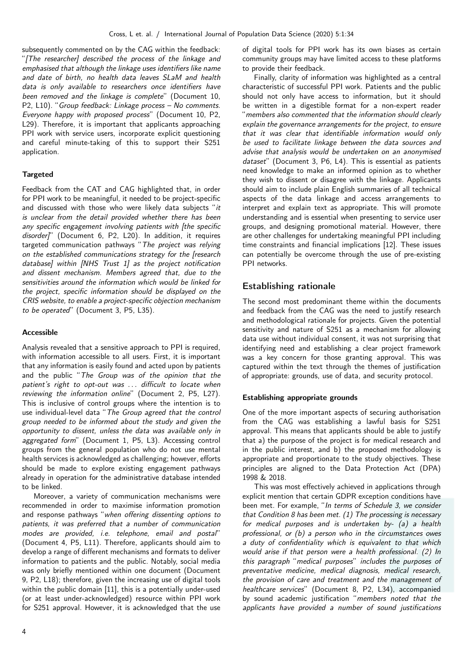subsequently commented on by the CAG within the feedback: "[The researcher] described the process of the linkage and emphasised that although the linkage uses identifiers like name and date of birth, no health data leaves SLaM and health data is only available to researchers once identifiers have been removed and the linkage is complete" (Document 10, P2, L10). "Group feedback: Linkage process – No comments. Everyone happy with proposed process" (Document 10, P2, L29). Therefore, it is important that applicants approaching PPI work with service users, incorporate explicit questioning and careful minute-taking of this to support their S251 application.

#### **Targeted**

Feedback from the CAT and CAG highlighted that, in order for PPI work to be meaningful, it needed to be project-specific and discussed with those who were likely data subjects "it is unclear from the detail provided whether there has been any specific engagement involving patients with [the specific disorder]" (Document 6, P2, L20). In addition, it requires targeted communication pathways "The project was relying on the established communications strategy for the [research database] within [NHS Trust 1] as the project notification and dissent mechanism. Members agreed that, due to the sensitivities around the information which would be linked for the project, specific information should be displayed on the CRIS website, to enable a project-specific objection mechanism to be operated" (Document 3, P5, L35).

#### Accessible

Analysis revealed that a sensitive approach to PPI is required, with information accessible to all users. First, it is important that any information is easily found and acted upon by patients and the public "The Group was of the opinion that the patient's right to opt-out was ... difficult to locate when reviewing the information online" (Document 2, P5, L27). This is inclusive of control groups where the intention is to use individual-level data "The Group agreed that the control group needed to be informed about the study and given the opportunity to dissent, unless the data was available only in aggregated form" (Document 1, P5, L3). Accessing control groups from the general population who do not use mental health services is acknowledged as challenging; however, efforts should be made to explore existing engagement pathways already in operation for the administrative database intended to be linked.

Moreover, a variety of communication mechanisms were recommended in order to maximise information promotion and response pathways "when offering dissenting options to patients, it was preferred that a number of communication modes are provided, i.e. telephone, email and postal" (Document 4, P5, L11). Therefore, applicants should aim to develop a range of different mechanisms and formats to deliver information to patients and the public. Notably, social media was only briefly mentioned within one document (Document 9, P2, L18); therefore, given the increasing use of digital tools within the public domain [\[11\]](#page-7-5), this is a potentially under-used (or at least under-acknowledged) resource within PPI work for S251 approval. However, it is acknowledged that the use

of digital tools for PPI work has its own biases as certain community groups may have limited access to these platforms to provide their feedback.

Finally, clarity of information was highlighted as a central characteristic of successful PPI work. Patients and the public should not only have access to information, but it should be written in a digestible format for a non-expert reader "members also commented that the information should clearly explain the governance arrangements for the project, to ensure that it was clear that identifiable information would only be used to facilitate linkage between the data sources and advise that analysis would be undertaken on an anonymised dataset" (Document 3, P6, L4). This is essential as patients need knowledge to make an informed opinion as to whether they wish to dissent or disagree with the linkage. Applicants should aim to include plain English summaries of all technical aspects of the data linkage and access arrangements to interpret and explain text as appropriate. This will promote understanding and is essential when presenting to service user groups, and designing promotional material. However, there are other challenges for undertaking meaningful PPI including time constraints and financial implications [\[12\]](#page-7-6). These issues can potentially be overcome through the use of pre-existing PPI networks.

### Establishing rationale

The second most predominant theme within the documents and feedback from the CAG was the need to justify research and methodological rationale for projects. Given the potential sensitivity and nature of S251 as a mechanism for allowing data use without individual consent, it was not surprising that identifying need and establishing a clear project framework was a key concern for those granting approval. This was captured within the text through the themes of justification of appropriate: grounds, use of data, and security protocol.

### Establishing appropriate grounds

One of the more important aspects of securing authorisation from the CAG was establishing a lawful basis for S251 approval. This means that applicants should be able to justify that a) the purpose of the project is for medical research and in the public interest, and b) the proposed methodology is appropriate and proportionate to the study objectives. These principles are aligned to the Data Protection Act (DPA) 1998 & 2018.

This was most effectively achieved in applications through explicit mention that certain GDPR exception conditions have been met. For example, "In terms of Schedule 3, we consider that Condition 8 has been met.  $(1)$  The processing is necessary for medical purposes and is undertaken by- (a) a health professional, or (b) a person who in the circumstances owes a duty of confidentiality which is equivalent to that which would arise if that person were a health professional. (2) In this paragraph "medical purposes" includes the purposes of preventative medicine, medical diagnosis, medical research, the provision of care and treatment and the management of healthcare services" (Document 8, P2, L34), accompanied by sound academic justification "members noted that the applicants have provided a number of sound justifications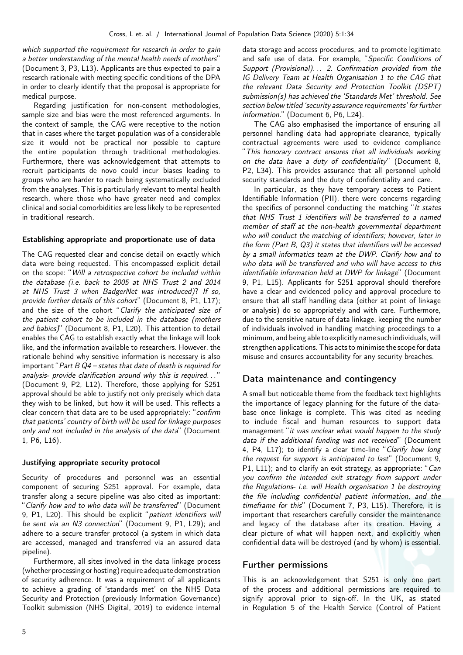which supported the requirement for research in order to gain a better understanding of the mental health needs of mothers" (Document 3, P3, L13). Applicants are thus expected to pair a research rationale with meeting specific conditions of the DPA in order to clearly identify that the proposal is appropriate for medical purpose.

Regarding justification for non-consent methodologies, sample size and bias were the most referenced arguments. In the context of sample, the CAG were receptive to the notion that in cases where the target population was of a considerable size it would not be practical nor possible to capture the entire population through traditional methodologies. Furthermore, there was acknowledgement that attempts to recruit participants de novo could incur biases leading to groups who are harder to reach being systematically excluded from the analyses. This is particularly relevant to mental health research, where those who have greater need and complex clinical and social comorbidities are less likely to be represented in traditional research.

#### Establishing appropriate and proportionate use of data

The CAG requested clear and concise detail on exactly which data were being requested. This encompassed explicit detail on the scope: "Will a retrospective cohort be included within the database (i.e. back to 2005 at NHS Trust 2 and 2014 at NHS Trust 3 when BadgerNet was introduced)? If so, provide further details of this cohort" (Document 8, P1, L17); and the size of the cohort "*Clarify the anticipated size of* the patient cohort to be included in the database (mothers and babies)" (Document 8, P1, L20). This attention to detail enables the CAG to establish exactly what the linkage will look like, and the information available to researchers. However, the rationale behind why sensitive information is necessary is also important "Part B Q4 – states that date of death is required for analysis- provide clarification around why this is required... (Document 9, P2, L12). Therefore, those applying for S251 approval should be able to justify not only precisely which data they wish to be linked, but how it will be used. This reflects a clear concern that data are to be used appropriately: "confirm that patients' country of birth will be used for linkage purposes only and not included in the analysis of the data" (Document 1, P6, L16).

#### Justifying appropriate security protocol

Security of procedures and personnel was an essential component of securing S251 approval. For example, data transfer along a secure pipeline was also cited as important: "Clarify how and to who data will be transferred" (Document 9, P1, L20). This should be explicit "patient identifiers will be sent via an N3 connection" (Document 9, P1, L29); and adhere to a secure transfer protocol (a system in which data are accessed, managed and transferred via an assured data pipeline).

Furthermore, all sites involved in the data linkage process (whether processing or hosting) require adequate demonstration of security adherence. It was a requirement of all applicants to achieve a grading of 'standards met' on the NHS Data Security and Protection (previously Information Governance) Toolkit submission (NHS Digital, 2019) to evidence internal data storage and access procedures, and to promote legitimate and safe use of data. For example, "Specific Conditions of Support (Provisional). . . 2. Confirmation provided from the IG Delivery Team at Health Organisation 1 to the CAG that the relevant Data Security and Protection Toolkit (DSPT) submission(s) has achieved the 'Standards Met' threshold. See section below titled 'security assurance requirements' for further information." (Document 6, P6, L24).

The CAG also emphasised the importance of ensuring all personnel handling data had appropriate clearance, typically contractual agreements were used to evidence compliance "This honorary contract ensures that all individuals working on the data have a duty of confidentiality" (Document 8, P2, L34). This provides assurance that all personnel uphold security standards and the duty of confidentiality and care.

In particular, as they have temporary access to Patient Identifiable Information (PII), there were concerns regarding the specifics of personnel conducting the matching "It states that NHS Trust 1 identifiers will be transferred to a named member of staff at the non-health governmental department who will conduct the matching of identifiers; however, later in the form (Part B, Q3) it states that identifiers will be accessed by a small informatics team at the DWP. Clarify how and to who data will be transferred and who will have access to this identifiable information held at DWP for linkage" (Document 9, P1, L15). Applicants for S251 approval should therefore have a clear and evidenced policy and approval procedure to ensure that all staff handling data (either at point of linkage or analysis) do so appropriately and with care. Furthermore, due to the sensitive nature of data linkage, keeping the number of individuals involved in handling matching proceedings to a minimum, and being able to explicitly name such individuals, will strengthen applications. This acts to minimise the scope for data misuse and ensures accountability for any security breaches.

### Data maintenance and contingency

A small but noticeable theme from the feedback text highlights the importance of legacy planning for the future of the database once linkage is complete. This was cited as needing to include fiscal and human resources to support data management "it was unclear what would happen to the study data if the additional funding was not received" (Document 4, P4, L17); to identify a clear time-line "Clarify how long the request for support is anticipated to last" (Document 9, P1, L11); and to clarify an exit strategy, as appropriate: "Can you confirm the intended exit strategy from support under the Regulations- i.e. will Health organisation 1 be destroying the file including confidential patient information, and the timeframe for this" (Document 7, P3, L15). Therefore, it is important that researchers carefully consider the maintenance and legacy of the database after its creation. Having a clear picture of what will happen next, and explicitly when confidential data will be destroyed (and by whom) is essential.

### Further permissions

This is an acknowledgement that S251 is only one part of the process and additional permissions are required to signify approval prior to sign-off. In the UK, as stated in Regulation 5 of the Health Service (Control of Patient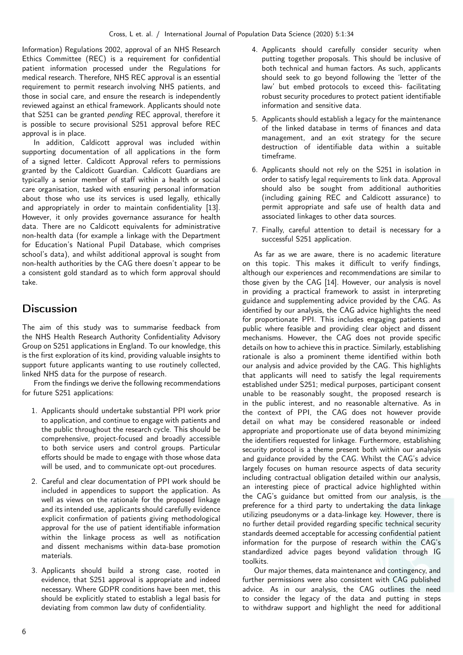Information) Regulations 2002, approval of an NHS Research Ethics Committee (REC) is a requirement for confidential patient information processed under the Regulations for medical research. Therefore, NHS REC approval is an essential requirement to permit research involving NHS patients, and those in social care, and ensure the research is independently reviewed against an ethical framework. Applicants should note that S251 can be granted pending REC approval, therefore it is possible to secure provisional S251 approval before REC approval is in place.

In addition, Caldicott approval was included within supporting documentation of all applications in the form of a signed letter. Caldicott Approval refers to permissions granted by the Caldicott Guardian. Caldicott Guardians are typically a senior member of staff within a health or social care organisation, tasked with ensuring personal information about those who use its services is used legally, ethically and appropriately in order to maintain confidentiality [\[13\]](#page-7-7). However, it only provides governance assurance for health data. There are no Caldicott equivalents for administrative non-health data (for example a linkage with the Department for Education's National Pupil Database, which comprises school's data), and whilst additional approval is sought from non-health authorities by the CAG there doesn't appear to be a consistent gold standard as to which form approval should take.

## **Discussion**

The aim of this study was to summarise feedback from the NHS Health Research Authority Confidentiality Advisory Group on S251 applications in England. To our knowledge, this is the first exploration of its kind, providing valuable insights to support future applicants wanting to use routinely collected, linked NHS data for the purpose of research.

From the findings we derive the following recommendations for future S251 applications:

- 1. Applicants should undertake substantial PPI work prior to application, and continue to engage with patients and the public throughout the research cycle. This should be comprehensive, project-focused and broadly accessible to both service users and control groups. Particular efforts should be made to engage with those whose data will be used, and to communicate opt-out procedures.
- 2. Careful and clear documentation of PPI work should be included in appendices to support the application. As well as views on the rationale for the proposed linkage and its intended use, applicants should carefully evidence explicit confirmation of patients giving methodological approval for the use of patient identifiable information within the linkage process as well as notification and dissent mechanisms within data-base promotion materials.
- 3. Applicants should build a strong case, rooted in evidence, that S251 approval is appropriate and indeed necessary. Where GDPR conditions have been met, this should be explicitly stated to establish a legal basis for deviating from common law duty of confidentiality.
- 4. Applicants should carefully consider security when putting together proposals. This should be inclusive of both technical and human factors. As such, applicants should seek to go beyond following the 'letter of the law' but embed protocols to exceed this- facilitating robust security procedures to protect patient identifiable information and sensitive data.
- 5. Applicants should establish a legacy for the maintenance of the linked database in terms of finances and data management, and an exit strategy for the secure destruction of identifiable data within a suitable timeframe.
- 6. Applicants should not rely on the S251 in isolation in order to satisfy legal requirements to link data. Approval should also be sought from additional authorities (including gaining REC and Caldicott assurance) to permit appropriate and safe use of health data and associated linkages to other data sources.
- 7. Finally, careful attention to detail is necessary for a successful S251 application.

As far as we are aware, there is no academic literature on this topic. This makes it difficult to verify findings, although our experiences and recommendations are similar to those given by the CAG [\[14\]](#page-7-8). However, our analysis is novel in providing a practical framework to assist in interpreting guidance and supplementing advice provided by the CAG. As identified by our analysis, the CAG advice highlights the need for proportionate PPI. This includes engaging patients and public where feasible and providing clear object and dissent mechanisms. However, the CAG does not provide specific details on how to achieve this in practice. Similarly, establishing rationale is also a prominent theme identified within both our analysis and advice provided by the CAG. This highlights that applicants will need to satisfy the legal requirements established under S251; medical purposes, participant consent unable to be reasonably sought, the proposed research is in the public interest, and no reasonable alternative. As in the context of PPI, the CAG does not however provide detail on what may be considered reasonable or indeed appropriate and proportionate use of data beyond minimizing the identifiers requested for linkage. Furthermore, establishing security protocol is a theme present both within our analysis and guidance provided by the CAG. Whilst the CAG's advice largely focuses on human resource aspects of data security including contractual obligation detailed within our analysis, an interesting piece of practical advice highlighted within the CAG's guidance but omitted from our analysis, is the preference for a third party to undertaking the data linkage utilizing pseudonyms or a data-linkage key. However, there is no further detail provided regarding specific technical security standards deemed acceptable for accessing confidential patient information for the purpose of research within the CAG's standardized advice pages beyond validation through IG toolkits.

Our major themes, data maintenance and contingency, and further permissions were also consistent with CAG published advice. As in our analysis, the CAG outlines the need to consider the legacy of the data and putting in steps to withdraw support and highlight the need for additional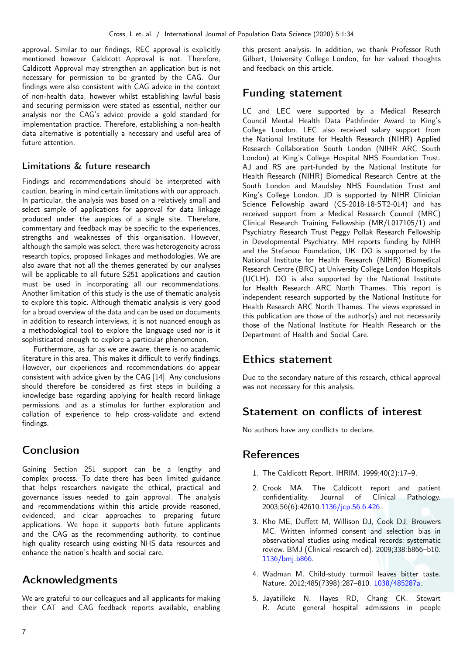approval. Similar to our findings, REC approval is explicitly mentioned however Caldicott Approval is not. Therefore, Caldicott Approval may strengthen an application but is not necessary for permission to be granted by the CAG. Our findings were also consistent with CAG advice in the context of non-health data, however whilst establishing lawful basis and securing permission were stated as essential, neither our analysis nor the CAG's advice provide a gold standard for implementation practice. Therefore, establishing a non-health data alternative is potentially a necessary and useful area of future attention.

### Limitations & future research

Findings and recommendations should be interpreted with caution, bearing in mind certain limitations with our approach. In particular, the analysis was based on a relatively small and select sample of applications for approval for data linkage produced under the auspices of a single site. Therefore, commentary and feedback may be specific to the experiences, strengths and weaknesses of this organisation. However, although the sample was select, there was heterogeneity across research topics, proposed linkages and methodologies. We are also aware that not all the themes generated by our analyses will be applicable to all future S251 applications and caution must be used in incorporating all our recommendations. Another limitation of this study is the use of thematic analysis to explore this topic. Although thematic analysis is very good for a broad overview of the data and can be used on documents in addition to research interviews, it is not nuanced enough as a methodological tool to explore the language used nor is it sophisticated enough to explore a particular phenomenon.

Furthermore, as far as we are aware, there is no academic literature in this area. This makes it difficult to verify findings. However, our experiences and recommendations do appear consistent with advice given by the CAG [\[14\]](#page-7-8). Any conclusions should therefore be considered as first steps in building a knowledge base regarding applying for health record linkage permissions, and as a stimulus for further exploration and collation of experience to help cross-validate and extend findings.

## Conclusion

Gaining Section 251 support can be a lengthy and complex process. To date there has been limited guidance that helps researchers navigate the ethical, practical and governance issues needed to gain approval. The analysis and recommendations within this article provide reasoned, evidenced, and clear approaches to preparing future applications. We hope it supports both future applicants and the CAG as the recommending authority, to continue high quality research using existing NHS data resources and enhance the nation's health and social care.

## Acknowledgments

We are grateful to our colleagues and all applicants for making their CAT and CAG feedback reports available, enabling this present analysis. In addition, we thank Professor Ruth Gilbert, University College London, for her valued thoughts and feedback on this article.

### Funding statement

LC and LEC were supported by a Medical Research Council Mental Health Data Pathfinder Award to King's College London. LEC also received salary support from the National Institute for Health Research (NIHR) Applied Research Collaboration South London (NIHR ARC South London) at King's College Hospital NHS Foundation Trust. AJ and RS are part-funded by the National Institute for Health Research (NIHR) Biomedical Research Centre at the South London and Maudsley NHS Foundation Trust and King's College London. JD is supported by NIHR Clinician Science Fellowship award (CS-2018-18-ST2-014) and has received support from a Medical Research Council (MRC) Clinical Research Training Fellowship (MR/L017105/1) and Psychiatry Research Trust Peggy Pollak Research Fellowship in Developmental Psychiatry. MH reports funding by NIHR and the Stefanou Foundation, UK. DO is supported by the National Institute for Health Research (NIHR) Biomedical Research Centre (BRC) at University College London Hospitals (UCLH). DO is also supported by the National Institute for Health Research ARC North Thames. This report is independent research supported by the National Institute for Health Research ARC North Thames. The views expressed in this publication are those of the author(s) and not necessarily those of the National Institute for Health Research or the Department of Health and Social Care.

### Ethics statement

Due to the secondary nature of this research, ethical approval was not necessary for this analysis.

### Statement on conflicts of interest

No authors have any conflicts to declare.

### References

- <span id="page-6-0"></span>1. The Caldicott Report. IHRIM. 1999;40(2):17–9.
- <span id="page-6-1"></span>2. Crook MA. The Caldicott report and patient confidentiality. Journal of Clinical Pathology. 2003;56(6):42610[.1136/jcp.56.6.426.](https://doi.org/10.1136/jcp.56.6.426)
- <span id="page-6-2"></span>3. Kho ME, Duffett M, Willison DJ, Cook DJ, Brouwers MC. Written informed consent and selection bias in observational studies using medical records: systematic review. BMJ (Clinical research ed). 2009;338:b866–b10. [1136/bmj.b866.](https://doi.org/10.1136/bmj.b866)
- <span id="page-6-3"></span>4. Wadman M. Child-study turmoil leaves bitter taste. Nature. 2012;485(7398):287–810. [1038/485287a.](https://doi.org/10.1038/485287a)
- <span id="page-6-4"></span>5. Jayatilleke N, Hayes RD, Chang CK, Stewart R. Acute general hospital admissions in people